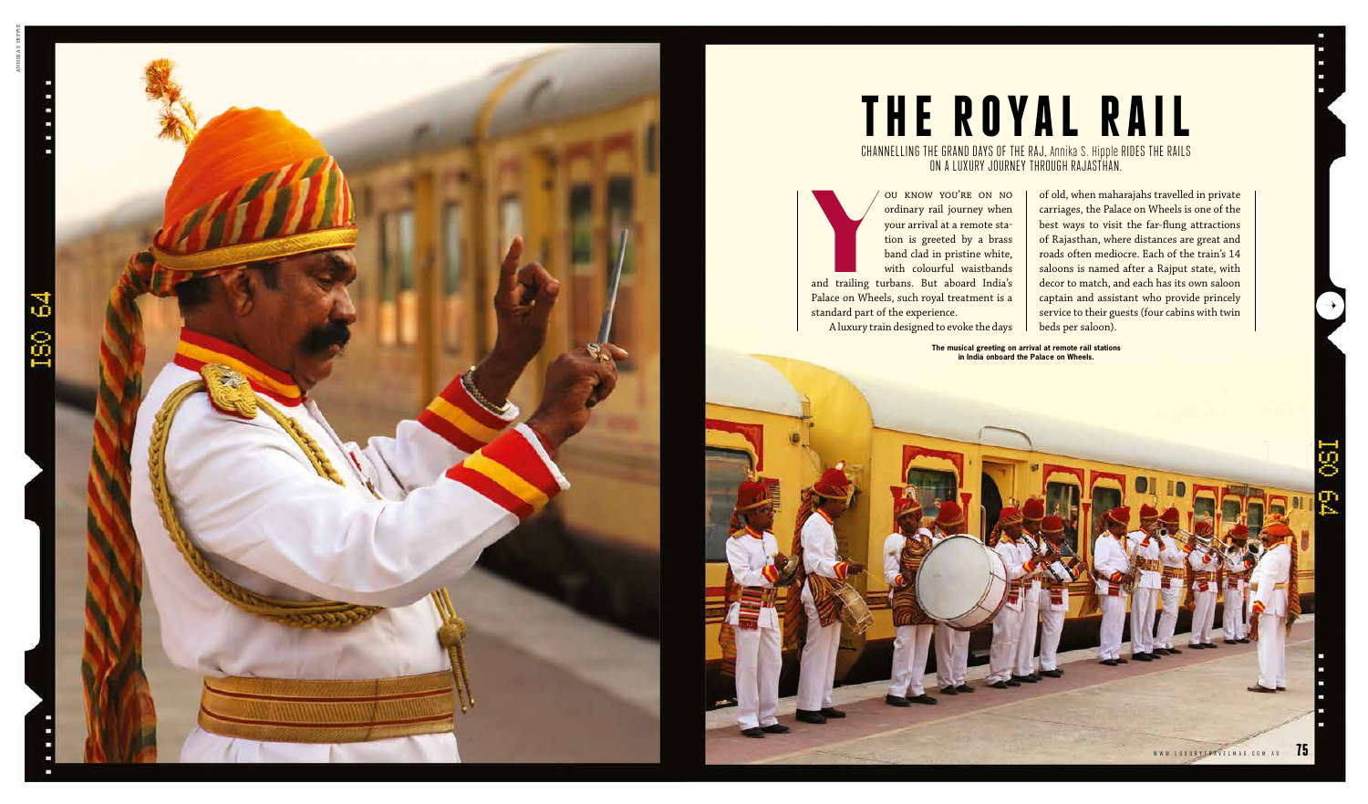

# **The Royal Rail**

Channelling the grand days of the Raj, Annika S. Hipple rides the rails on a luxury journey through Rajasthan.

OU KNOW YOU'RE ON NO ordinary rail journey when your arrival at a remote station is greeted by a brass band clad in pristine white, with colourful waistbands and trailing turbans. But aboard India's ordinary rail journey when your arrival at a remote station is greeted by a brass band clad in pristine white, with colourful waistbands

Palace on Wheels, such royal treatment is a standard part of the experience. A luxury train designed to evoke the days

of old, when maharajahs travelled in private carriages, the Palace on Wheels is one of the best ways to visit the far-flung attractions of Rajasthan, where distances are great and roads often mediocre. Each of the train's 14 saloons is named after a Rajput state, with decor to match, and each has its own saloon captain and assistant who provide princely service to their guests (four cabins with twin beds per saloon).



**The musical greeting on arrival at remote rail stations in India onboard the Palace on Wheels.**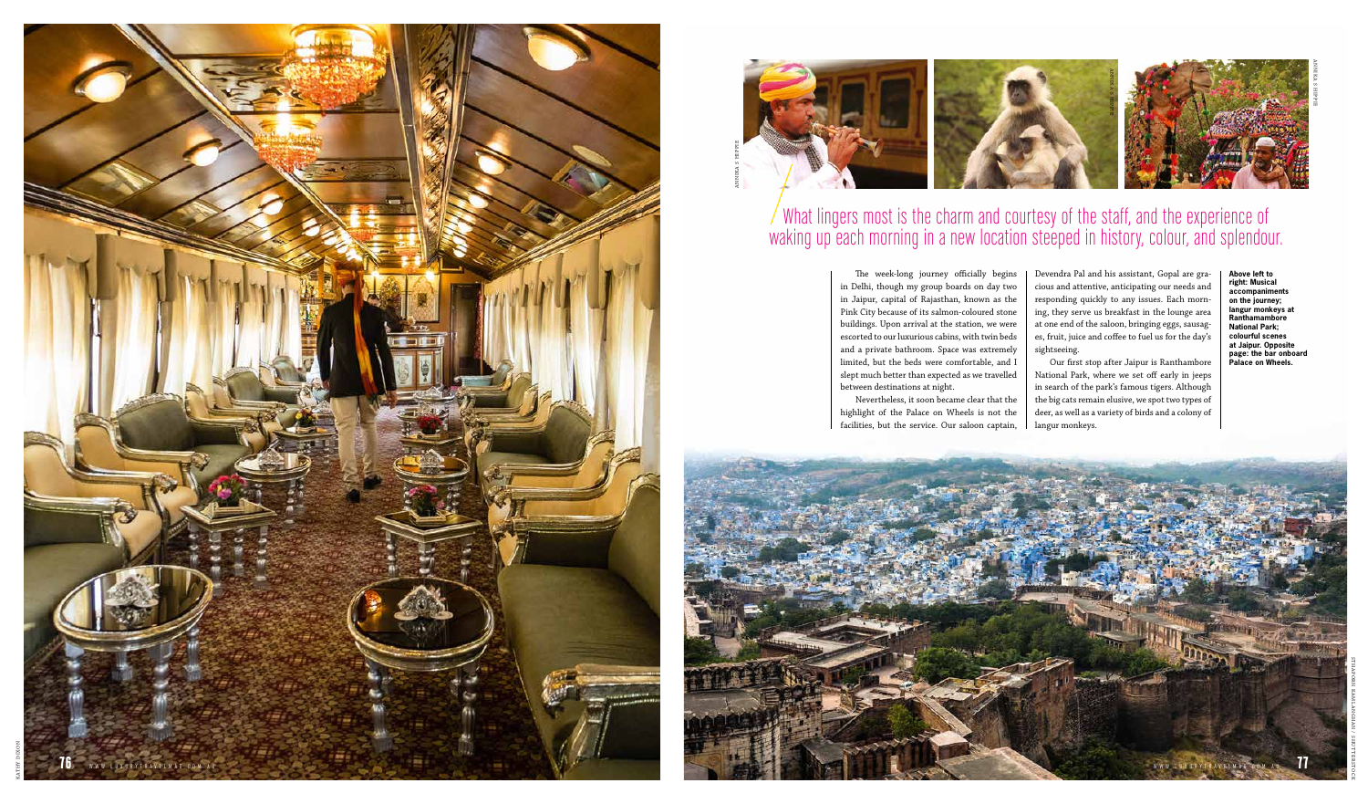

The week-long journey officially begins in Delhi, though my group boards on day two in Jaipur, capital of Rajasthan, known as the Pink City because of its salmon-coloured stone buildings. Upon arrival at the station, we were escorted to our luxurious cabins, with twin beds and a private bathroom. Space was extremely limited, but the beds were comfortable, and I slept much better than expected as we travelled between destinations at night. Nevertheless, it soon became clear that the

highlight of the Palace on Wheels is not the facilities, but the service. Our saloon captain,

Devendra Pal and his assistant, Gopal are gra cious and attentive, anticipating our needs and responding quickly to any issues. Each morn ing, they serve us breakfast in the lounge area at one end of the saloon, bringing eggs, sausag es, fruit, juice and coffee to fuel us for the day's sightseeing.

Our first stop after Jaipur is Ranthambore National Park, where we set off early in jeeps in search of the park's famous tigers. Although the big cats remain elusive, we spot two types of deer, as well as a variety of birds and a colony of langur monkeys.

**Above left to right: Musical accompaniments on the journey; langur monkeys at Ranthamambore National Park; colourful scenes at Jaipur. Opposite page: the bar onboard Palace on Wheels.** 

## $^\prime$  What lingers most is the charm and courtesy of the staff, and the experience of waking up each morning in a new location steeped in history, colour, and splendour.